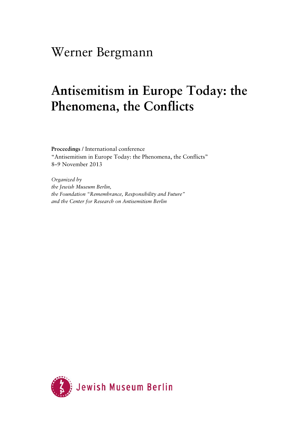## Werner Bergmann

# **Antisemitism in Europe Today: the Phenomena, the Conflicts**

**Proceedings** / International conference "Antisemitism in Europe Today: the Phenomena, the Conflicts" 8–9 November 2013

*Organized by the Jewish Museum Berlin, the Foundation "Remembrance, Responsibility and Future" and the Center for Research on Antisemitism Berlin* 

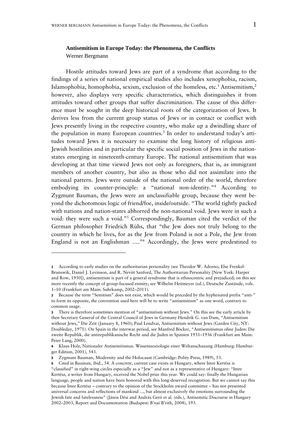#### **Antisemitism in Europe Today: the Phenomena, the Conflicts**  Werner Bergmann

Hostile attitudes toward Jews are part of a syndrome that according to the findings of a series of national empirical studies also includes xenophobia, racism, Islamophobia, homophobia, sexism, exclusion of the homeless, etc.<sup>1</sup> Antisemitism,<sup>2</sup> however, also displays very specific characteristics, which distinguishes it from attitudes toward other groups that suffer discrimination. The cause of this difference must be sought in the deep historical roots of the categorization of Jews. It derives less from the current group status of Jews or in contact or conflict with Jews presently living in the respective country, who make up a dwindling share of the population in many European countries.<sup>3</sup> In order to understand today's attitudes toward Jews it is necessary to examine the long history of religious anti-Jewish hostilities and in particular the specific social position of Jews in the nationstates emerging in nineteenth-century Europe. The national antisemitism that was developing at that time viewed Jews not only as foreigners, that is, as immigrant members of another country, but also as those who did not assimilate into the national pattern. Jews were outside of the national order of the world, therefore embodying its counter-principle: a "national non-identity."4 According to Zygmunt Bauman, the Jews were an unclassifiable group, because they went beyond the dichotomous logic of friend/foe, inside/outside. "The world tightly packed with nations and nation-states abhorred the non-national void. Jews were in such a void: they were such a void."5 Correspondingly, Bauman cited the verdict of the German philosopher Friedrich Rühs, that "the Jew does not truly belong to the country in which he lives, for as the Jew from Poland is not a Pole, the Jew from England is not an Englishman …."6 Accordingly, the Jews were predestined to

-

**<sup>1</sup>** According to early studies on the authoritarian personality (see Theodor W. Adorno, Else Frenkel-Brunswik, Daniel J. Levinson, and R. Nevitt Sanford, The Authoritarian Personality [New York: Harper and Row, 1950]), antisemitism is part of a general syndrome that is ethnocentric and prejudiced; on this see more recently the concept of group-focused enmity; see Wilhelm Heitmeyer (ed.), Deutsche Zustände, vols. 1–10 (Frankfurt am Main: Suhrkamp, 2002–2011).

**<sup>2</sup>** Because the term "Semitism" does not exist, which would be preceded by the hyphenated prefix "anti-" to form its opposite, the convention used here will be to write "antisemitism" as one word, contrary to common usage.

**<sup>3</sup>** There is therefore sometimes mention of "antisemitism without Jews." On this see the early article by then Secretary General of the Central Council of Jews in Germany Hendrik G. van Dam, "Antisemitism without Jews," Die Zeit (January 8, 1960); Paul Lendvai, Antisemitism without Jews (Garden City, NY: Doubleday, 1971). On Spain in the interwar period, see Manfred Böcker, "Antisemitismus ohne Juden: Die zweite Republik, die antirepublikanische Recht und die Juden in Spanien 1931–1936 (Frankfurt am Main: Peter Lang, 2000).

**<sup>4</sup>** Klaus Holz, Nationaler Antisemitismus. Wissenssoziologie einer Weltanschauung (Hamburg: Hamburger Edition, 2001), 543.

**<sup>5</sup>** Zygmunt Bauman, Modernity and the Holocaust (Cambridge: Polity Press, 1989), 53.

**<sup>6</sup>** Cited in Bauman, ibid., 54. A concrete, current case exists in Hungary, where Imre Kertész is "classified" in right-wing circles especially as a "Jew" and not as a representative of Hungary: "Imre Kertész, a writer from Hungary, received the Nobel prize this year. We could say: finally the Hungarian language, people and nation have been honored with this long-deserved recognition. But we cannot say this because Imre Kertész – contrary to the opinion of the Stockholm award committee – has not presented universal concerns and reflections of mankind ..., but almost exclusively the emotions surrounding the Jewish fate and fatelessness" (János Dési and András Gerö et al. (eds.), Antisemitic Discourse in Hungary 2002–2003, Report and Documentation (Budapest: B'nai B'rith, 2004), 193.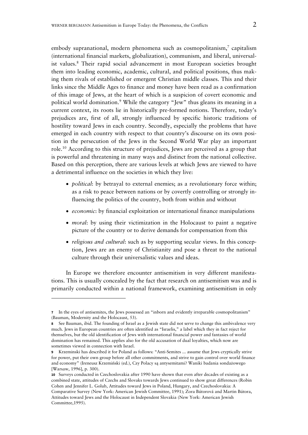embody supranational, modern phenomena such as cosmopolitanism, $\frac{7}{7}$  capitalism (international financial markets, globalization), communism, and liberal, universalist values.<sup>8</sup> Their rapid social advancement in most European societies brought them into leading economic, academic, cultural, and political positions, thus making them rivals of established or emergent Christian middle classes. This and their links since the Middle Ages to finance and money have been read as a confirmation of this image of Jews, at the heart of which is a suspicion of covert economic and political world domination.<sup>9</sup> While the category "Jew" thus gleans its meaning in a current context, its roots lie in historically pre-formed notions. Therefore, today's prejudices are, first of all, strongly influenced by specific historic traditions of hostility toward Jews in each country. Secondly, especially the problems that have emerged in each country with respect to that country's discourse on its own position in the persecution of the Jews in the Second World War play an important role.10 According to this structure of prejudices, Jews are perceived as a group that is powerful and threatening in many ways and distinct from the national collective. Based on this perception, there are various levels at which Jews are viewed to have a detrimental influence on the societies in which they live:

- *political*: by betrayal to external enemies; as a revolutionary force within; as a risk to peace between nations or by covertly controlling or strongly influencing the politics of the country, both from within and without
- *economic*: by financial exploitation or international finance manipulations
- *moral*: by using their victimization in the Holocaust to paint a negative picture of the country or to derive demands for compensation from this
- *religious and cultural*: such as by supporting secular views. In this conception, Jews are an enemy of Christianity and pose a threat to the national culture through their universalistic values and ideas.

In Europe we therefore encounter antisemitism in very different manifestations. This is usually concealed by the fact that research on antisemitism was and is primarily conducted within a national framework, examining antisemitism in only

-

**<sup>7</sup>** In the eyes of antisemites, the Jews possessed an "inborn and evidently irreparable cosmopolitanism" (Bauman, Modernity and the Holocaust, 53).

**<sup>8</sup>** See Bauman, ibid. The founding of Israel as a Jewish state did not serve to change this ambivalence very much. Jews in European countries are often identified as "Israelis," a label which they in fact reject for themselves, but the old identification of Jews with international financial power and fantasies of world domination has remained. This applies also for the old accusation of dual loyalties, which now are sometimes viewed in connection with Israel.

**<sup>9</sup>** Krzeminski has described it for Poland as follows: "Anti-Semites ... assume that Jews cryptically strive for power, put their own group before all other commitments, and strive to gain control over world finance and economy" (Ireneusz Krzemiński (ed.), Czy Polacy są antysemitami? Waniki badania sondażowego [Warsaw, 1996], p. 300).

**<sup>10</sup>** Surveys conducted in Czechoslovakia after 1990 have shown that even after decades of existing as a combined state, attitudes of Czechs and Slovaks towards Jews continued to show great differences (Robin Cohen and Jennifer L. Golub, Attitudes toward Jews in Poland, Hungary, and Czechoslovakia: A Comparative Survey (New York: American Jewish Committee, 1991); Zora Bútorová and Martin Bútora, Attitudes toward Jews and the Holocaust in Independent Slovakia (New York: American Jewish Committee,1995).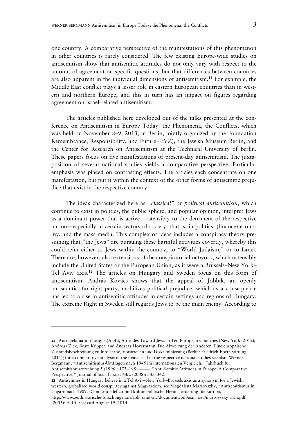one country. A comparative perspective of the manifestations of this phenomenon in other countries is rarely considered. The few existing Europe-wide studies on antisemitism show that antisemitic attitudes do not only vary with respect to the amount of agreement on specific questions, but that differences between countries are also apparent in the individual dimensions of antisemitism.<sup>11</sup> For example, the Middle East conflict plays a lesser role in eastern European countries than in western and northern Europe, and this in turn has an impact on figures regarding agreement on Israel-related antisemitism.

The articles published here developed out of the talks presented at the conference on Antisemitism in Europe Today: the Phenomena, the Conflicts, which was held on November 8–9, 2013, in Berlin, jointly organized by the Foundation Remembrance, Responsibility, and Future (EVZ), the Jewish Museum Berlin, and the Center for Research on Antisemitism at the Technical University of Berlin. These papers focus on five manifestations of present-day antisemitism. The juxtaposition of several national studies yields a comparative perspective. Particular emphasis was placed on contrasting effects. The articles each concentrate on one manifestation, but put it within the context of the other forms of antisemitic prejudice that exist in the respective country.

The ideas characterized here as *"classical" or political antisemitism*, which continue to exist in politics, the public sphere, and popular opinion, interpret Jews as a dominant power that is active—ostensibly to the detriment of the respective nation—especially in certain sectors of society, that is, in politics, (finance) economy, and the mass media. This complex of ideas includes a conspiracy theory presuming that "the Jews" are pursuing these harmful activities covertly, whereby this could refer either to Jews within the country, to "World Judaism," or to Israel. There are, however, also extensions of the conspiratorial network, which ostensibly include the United States or the European Union, as it were a Brussels–New York– Tel Aviv axis.12 The articles on Hungary and Sweden focus on this form of antisemitism. András Kovács shows that the appeal of Jobbik, an openly antisemitic, far-right party, mobilizes political prejudice, which as a consequence has led to a rise in antisemitic attitudes in certain settings and regions of Hungary. The extreme Right in Sweden still regards Jews to be the main enemy. According to

**<sup>11</sup>** Anti-Defamation League (ADL), Attitudes Toward Jews in Ten European Countries (New York, 2012); Andreas Zick, Beate Küpper, and Andreas Hövermann, Die Abwertung der Anderen. Eine europäische Zustandsbeschreibung zu Intoleranz, Vorurteilen und Diskriminierung (Berlin: Friedrich-Ebert-Stiftung, 2011); for a comparative analysis of the items used in the respective national studies see also: Werner Bergmann, "Antisemitismus-Umfragen nach 1945 im internationalen Vergleich," Jahrbuch für Antisemitismusforschung 5 (1996): 172-195; - , "Anti-Semitic Attitudes in Europe: A Comparative Perspective," Journal of Social Issues 64/2 (2008): 343–362.

**<sup>12</sup>** Antisemites in Hungary believe in a Tel Aviv–New York–Brussels axis as a synonym for a Jewish, western, globalized world conspiracy against Magyardom; see Magdalena Marsovszky, "Antisemitismus in Ungarn nach 1989. Demokratiedefizit und kultur-politische Herausforderung für Europa," http://www.zeithistorische-forschungen.de/zol/\_rainbow/documents/pdf/asm\_oeu/marsovszky\_asm.pdf (2005): 9–10, accessed August 19, 2014.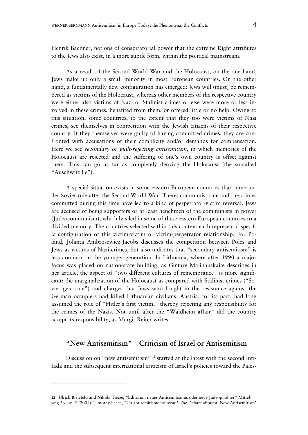Henrik Bachner, notions of conspiratorial power that the extreme Right attributes to the Jews also exist, in a more subtle form, within the political mainstream.

As a result of the Second World War and the Holocaust, on the one hand, Jews make up only a small minority in most European countries. On the other hand, a fundamentally new configuration has emerged: Jews will (must) be remembered as victims of the Holocaust, whereas other members of the respective country were either also victims of Nazi or Stalinist crimes or else were more or less involved in these crimes, benefited from them, or offered little or no help. Owing to this situation, some countries, to the extent that they too were victims of Nazi crimes, see themselves in competition with the Jewish citizens of their respective country. If they themselves were guilty of having committed crimes, they are confronted with accusations of their complicity and/or demands for compensation. Here we see *secondary or guilt-rejecting antisemitism*, in which memories of the Holocaust are rejected and the suffering of one's own country is offset against them. This can go as far as completely denying the Holocaust (the so-called "Auschwitz lie").

A special situation exists in some eastern European countries that came under Soviet rule after the Second World War. There, communist rule and the crimes committed during this time have led to a kind of perpetrator-victim reversal. Jews are accused of being supporters or at least henchmen of the communists in power (Judeocommunism), which has led in some of these eastern European countries to a divided memory. The countries selected within this context each represent a specific configuration of this victim-victim or victim-perpetrator relationship. For Poland, Jolanta Ambrosewicz-Jacobs discusses the competition between Poles and Jews as victims of Nazi crimes, but also indicates that "secondary antisemitism" is less common in the younger generation. In Lithuania, where after 1990 a major focus was placed on nation-state building, as Gintare Malinauskaite describes in her article, the aspect of "two different cultures of remembrance" is more significant: the marginalization of the Holocaust as compared with Stalinist crimes ("Soviet genocide") and charges that Jews who fought in the resistance against the German occupiers had killed Lithuanian civilians. Austria, for its part, had long assumed the role of "Hitler's first victim," thereby rejecting any responsibility for the crimes of the Nazis. Not until after the "Waldheim affair" did the country accept its responsibility, as Margit Reiter writes.

### **"New Antisemitism"—Criticism of Israel or Antisemitism**

Discussion on "new antisemitism"13 started at the latest with the second Intifada and the subsequent international criticism of Israel's policies toward the Pales-

-

**<sup>13</sup>** Ulrich Bielefeld and Nikola Tietze, "Editorial: neuer Antisemitismus oder neue Judeophobie?" Mittelweg 36, no. 2 (2004); Timothy Peace, "Un antisemitisme nouveau? The Debate about a 'New Antisemitism'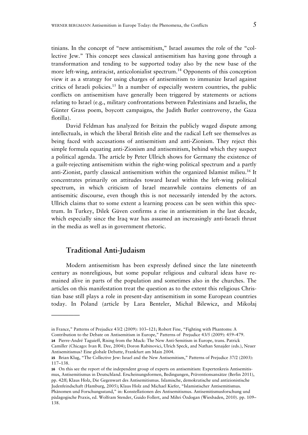tinians. In the concept of "new antisemitism," Israel assumes the role of the "collective Jew." This concept sees classical antisemitism has having gone through a transformation and tending to be supported today also by the new base of the more left-wing, antiracist, anticolonialist spectrum.<sup>14</sup> Opponents of this conception view it as a strategy for using charges of antisemitism to immunize Israel against critics of Israeli policies.<sup>15</sup> In a number of especially western countries, the public conflicts on antisemitism have generally been triggered by statements or actions relating to Israel (e.g., military confrontations between Palestinians and Israelis, the Günter Grass poem, boycott campaigns, the Judith Butler controversy, the Gaza flotilla).

David Feldman has analyzed for Britain the publicly waged dispute among intellectuals, in which the liberal British elite and the radical Left see themselves as being faced with accusations of antisemitism and anti-Zionism. They reject this simple formula equating anti-Zionism and antisemitism, behind which they suspect a political agenda. The article by Peter Ullrich shows for Germany the existence of a guilt-rejecting antisemitism within the right-wing political spectrum and a partly anti-Zionist, partly classical antisemitism within the organized Islamist milieu.16 It concentrates primarily on attitudes toward Israel within the left-wing political spectrum, in which criticism of Israel meanwhile contains elements of an antisemitic discourse, even though this is not necessarily intended by the actors. Ullrich claims that to some extent a learning process can be seen within this spectrum. In Turkey, Dilek Güven confirms a rise in antisemitism in the last decade, which especially since the Iraq war has assumed an increasingly anti-Israeli thrust in the media as well as in government rhetoric.

#### **Traditional Anti-Judaism**

—————

Modern antisemitism has been expressly defined since the late nineteenth century as nonreligious, but some popular religious and cultural ideas have remained alive in parts of the population and sometimes also in the churches. The articles on this manifestation treat the question as to the extent this religious Christian base still plays a role in present-day antisemitism in some European countries today. In Poland (article by Lara Benteler, Michał Bilewicz, and Mikołaj

**16** On this see the report of the independent group of experts on antisemitism: Expertenkreis Antisemitismus, Antisemitismus in Deutschland. Erscheinungsformen, Bedingungen, Präventionsansätze (Berlin 2011), pp. 42ff; Klaus Holz, Die Gegenwart des Antisemitismus. Islamische, demokratische und antizionistische Judenfeindschaft (Hamburg, 2005); Klaus Holz and Michael Kiefer, "Islamistischer Antisemitismus. Phänomen und Forschungsstand," in: Konstellationen des Antisemitismus. Antisemitismusforschung und pädagogische Praxis, ed. Wolfram Stender, Guido Follert, and Mihri Özdogan (Wiesbaden, 2010). pp. 109– 138.

in France," Patterns of Prejudice 43/2 (2009): 103–121; Robert Fine, "Fighting with Phantoms: A Contribution to the Debate on Antisemitism in Europe," Patterns of Prejudice 43/5 (2009): 459–479.

**<sup>14</sup>** Pierre-André Taguieff, Rising from the Muck: The New Anti-Semitism in Europe, trans. Patrick

Camiller (Chicago: Ivan R. Dee, 2004); Doron Rabinovici, Ulrich Speck, and Nathan Sznajder (eds.), Neuer Antisemitismus? Eine globale Debatte, Frankfurt am Main 2004.

**<sup>15</sup>** Brian Klug, "The Collective Jew: Israel and the New Antisemitism," Patterns of Prejudice 37/2 (2003): 117–138.